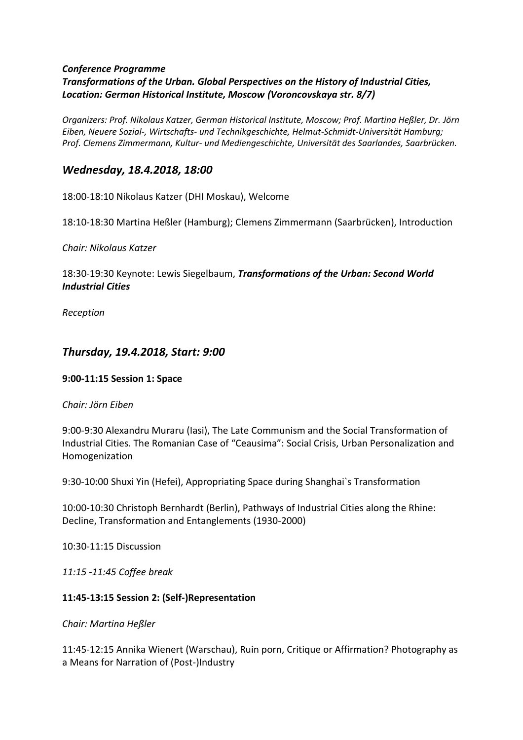#### *Conference Programme Transformations of the Urban. Global Perspectives on the History of Industrial Cities, Location: German Historical Institute, Moscow (Voroncovskaya str. 8/7)*

*Organizers: Prof. Nikolaus Katzer, German Historical Institute, Moscow; Prof. Martina Heßler, Dr. Jörn Eiben, Neuere Sozial-, Wirtschafts- und Technikgeschichte, Helmut-Schmidt-Universität Hamburg; Prof. Clemens Zimmermann, Kultur- und Mediengeschichte, Universität des Saarlandes, Saarbrücken.*

# *Wednesday, 18.4.2018, 18:00*

18:00-18:10 Nikolaus Katzer (DHI Moskau), Welcome

18:10-18:30 Martina Heßler (Hamburg); Clemens Zimmermann (Saarbrücken), Introduction

*Chair: Nikolaus Katzer*

18:30-19:30 Keynote: Lewis Siegelbaum, *Transformations of the Urban: Second World Industrial Cities*

*Reception*

# *Thursday, 19.4.2018, Start: 9:00*

### **9:00-11:15 Session 1: Space**

#### *Chair: Jörn Eiben*

9:00-9:30 Alexandru Muraru (Iasi), The Late Communism and the Social Transformation of Industrial Cities. The Romanian Case of "Ceausima": Social Crisis, Urban Personalization and Homogenization

9:30-10:00 Shuxi Yin (Hefei), Appropriating Space during Shanghai`s Transformation

10:00-10:30 Christoph Bernhardt (Berlin), Pathways of Industrial Cities along the Rhine: Decline, Transformation and Entanglements (1930-2000)

10:30-11:15 Discussion

*11:15 -11:45 Coffee break*

### **11:45-13:15 Session 2: (Self-)Representation**

*Chair: Martina Heßler*

11:45-12:15 Annika Wienert (Warschau), Ruin porn, Critique or Affirmation? Photography as a Means for Narration of (Post-)Industry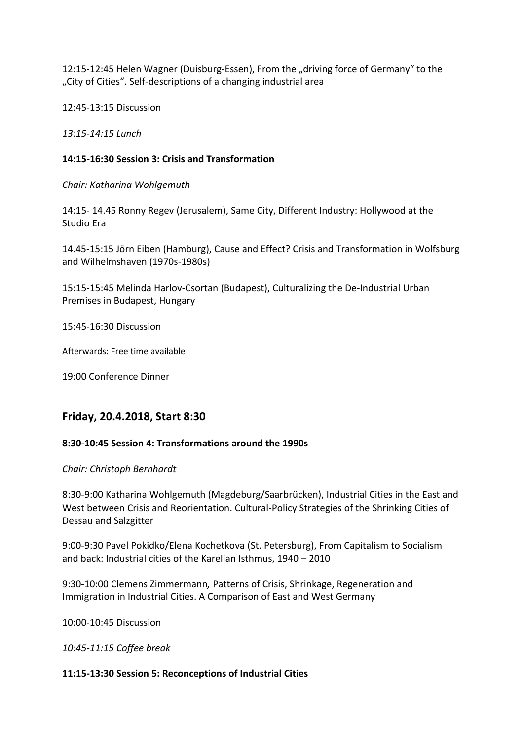12:15-12:45 Helen Wagner (Duisburg-Essen), From the "driving force of Germany" to the "City of Cities". Self-descriptions of a changing industrial area

12:45-13:15 Discussion

*13:15-14:15 Lunch*

#### **14:15-16:30 Session 3: Crisis and Transformation**

*Chair: Katharina Wohlgemuth*

14:15- 14.45 Ronny Regev (Jerusalem), Same City, Different Industry: Hollywood at the Studio Era

14.45-15:15 Jörn Eiben (Hamburg), Cause and Effect? Crisis and Transformation in Wolfsburg and Wilhelmshaven (1970s-1980s)

15:15-15:45 Melinda Harlov-Csortan (Budapest), Culturalizing the De-Industrial Urban Premises in Budapest, Hungary

15:45-16:30 Discussion

Afterwards: Free time available

19:00 Conference Dinner

## **Friday, 20.4.2018, Start 8:30**

### **8:30-10:45 Session 4: Transformations around the 1990s**

*Chair: Christoph Bernhardt*

8:30-9:00 Katharina Wohlgemuth (Magdeburg/Saarbrücken), Industrial Cities in the East and West between Crisis and Reorientation. Cultural-Policy Strategies of the Shrinking Cities of Dessau and Salzgitter

9:00-9:30 Pavel Pokidko/Elena Kochetkova (St. Petersburg), From Capitalism to Socialism and back: Industrial cities of the Karelian Isthmus, 1940 – 2010

9:30-10:00 Clemens Zimmermann*,* Patterns of Crisis, Shrinkage, Regeneration and Immigration in Industrial Cities. A Comparison of East and West Germany

10:00-10:45 Discussion

*10:45-11:15 Coffee break* 

#### **11:15-13:30 Session 5: Reconceptions of Industrial Cities**